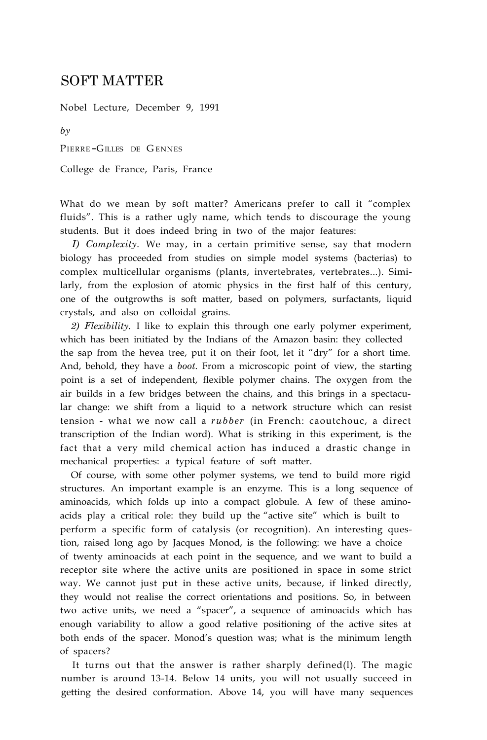## SOFT MATTER

Nobel Lecture, December 9, 1991

*by*

PIERRE **-**GILLES DE G ENNES

College de France, Paris, France

What do we mean by soft matter? Americans prefer to call it "complex fluids". This is a rather ugly name, which tends to discourage the young students. But it does indeed bring in two of the major features:

*I) Complexity.* We may, in a certain primitive sense, say that modern biology has proceeded from studies on simple model systems (bacterias) to complex multicellular organisms (plants, invertebrates, vertebrates...). Similarly, from the explosion of atomic physics in the first half of this century, one of the outgrowths is soft matter, based on polymers, surfactants, liquid crystals, and also on colloidal grains.

*2) Flexibility.* I like to explain this through one early polymer experiment, which has been initiated by the Indians of the Amazon basin: they collected the sap from the hevea tree, put it on their foot, let it "dry" for a short time. And, behold, they have a *boot.* From a microscopic point of view, the starting point is a set of independent, flexible polymer chains. The oxygen from the air builds in a few bridges between the chains, and this brings in a spectacular change: we shift from a liquid to a network structure which can resist tension - what we now call a *rubber* (in French: caoutchouc, a direct transcription of the Indian word). What is striking in this experiment, is the fact that a very mild chemical action has induced a drastic change in mechanical properties: a typical feature of soft matter.

Of course, with some other polymer systems, we tend to build more rigid structures. An important example is an enzyme. This is a long sequence of aminoacids, which folds up into a compact globule. A few of these aminoacids play a critical role: they build up the "active site" which is built to perform a specific form of catalysis (or recognition). An interesting question, raised long ago by Jacques Monod, is the following: we have a choice of twenty aminoacids at each point in the sequence, and we want to build a receptor site where the active units are positioned in space in some strict way. We cannot just put in these active units, because, if linked directly, they would not realise the correct orientations and positions. So, in between two active units, we need a "spacer", a sequence of aminoacids which has enough variability to allow a good relative positioning of the active sites at both ends of the spacer. Monod's question was; what is the minimum length of spacers?

It turns out that the answer is rather sharply defined(l). The magic number is around 13-14. Below 14 units, you will not usually succeed in getting the desired conformation. Above 14, you will have many sequences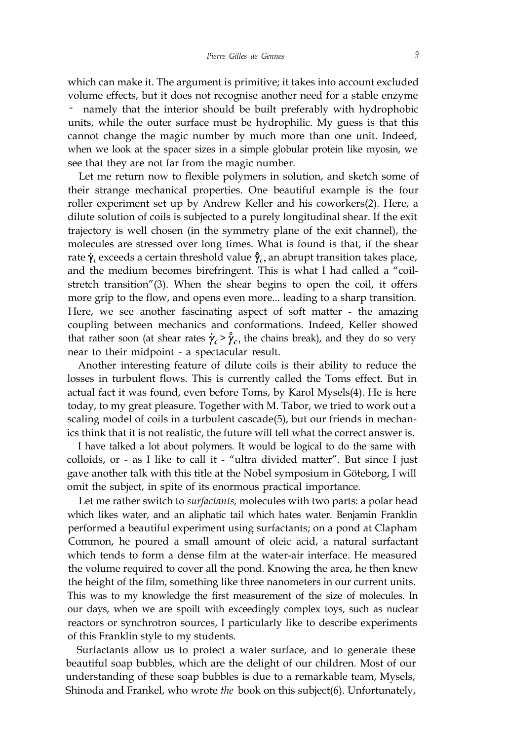which can make it. The argument is primitive; it takes into account excluded volume effects, but it does not recognise another need for a stable enzyme - namely that the interior should be built preferably with hydrophobic units, while the outer surface must be hydrophilic. My guess is that this cannot change the magic number by much more than one unit. Indeed, when we look at the spacer sizes in a simple globular protein like myosin, we see that they are not far from the magic number.

Let me return now to flexible polymers in solution, and sketch some of their strange mechanical properties. One beautiful example is the four roller experiment set up by Andrew Keller and his coworkers(2). Here, a dilute solution of coils is subjected to a purely longitudinal shear. If the exit trajectory is well chosen (in the symmetry plane of the exit channel), the molecules are stressed over long times. What is found is that, if the shear rate  $\gamma_c$  exceeds a certain threshold value  $\gamma_c$ , an abrupt transition takes place, and the medium becomes birefringent. This is what I had called a "coilstretch transition"(3). When the shear begins to open the coil, it offers more grip to the flow, and opens even more... leading to a sharp transition. Here, we see another fascinating aspect of soft matter - the amazing coupling between mechanics and conformations. Indeed, Keller showed that rather soon (at shear rates  $\dot{\gamma}_c > \dot{\gamma}_c$ , the chains break), and they do so very near to their midpoint - a spectacular result.

Another interesting feature of dilute coils is their ability to reduce the losses in turbulent flows. This is currently called the Toms effect. But in actual fact it was found, even before Toms, by Karol Mysels(4). He is here today, to my great pleasure. Together with M. Tabor, we tried to work out a scaling model of coils in a turbulent cascade(5), but our friends in mechanics think that it is not realistic, the future will tell what the correct answer is.

I have talked a lot about polymers. It would be logical to do the same with colloids, or - as I like to call it - "ultra divided matter". But since I just gave another talk with this title at the Nobel symposium in Göteborg, I will omit the subject, in spite of its enormous practical importance.

Let me rather switch to *surfactants,* molecules with two parts: a polar head which likes water, and an aliphatic tail which hates water. Benjamin Franklin performed a beautiful experiment using surfactants; on a pond at Clapham Common, he poured a small amount of oleic acid, a natural surfactant which tends to form a dense film at the water-air interface. He measured the volume required to cover all the pond. Knowing the area, he then knew the height of the film, something like three nanometers in our current units. This was to my knowledge the first measurement of the size of molecules. In our days, when we are spoilt with exceedingly complex toys, such as nuclear reactors or synchrotron sources, I particularly like to describe experiments of this Franklin style to my students.

Surfactants allow us to protect a water surface, and to generate these beautiful soap bubbles, which are the delight of our children. Most of our understanding of these soap bubbles is due to a remarkable team, Mysels, Shinoda and Frankel, who wrote *the* book on this subject(6). Unfortunately,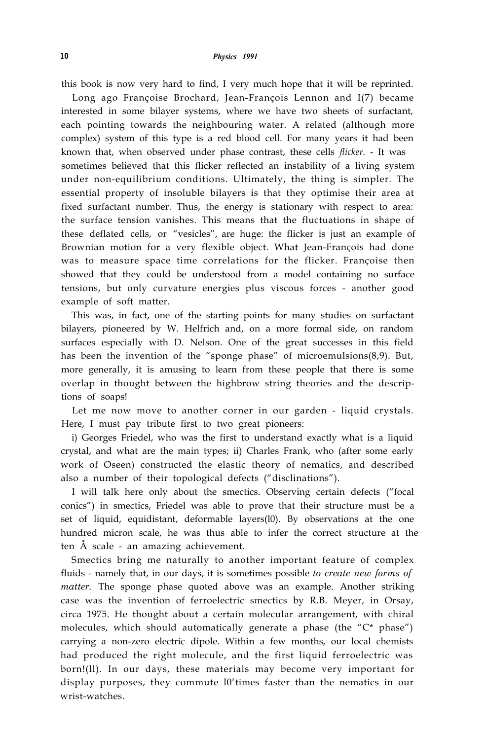this book is now very hard to find, I very much hope that it will be reprinted.

Long ago Françoise Brochard, Jean-François Lennon and I(7) became interested in some bilayer systems, where we have two sheets of surfactant, each pointing towards the neighbouring water. A related (although more complex) system of this type is a red blood cell. For many years it had been known that, when observed under phase contrast, these cells *flicker.* - It was sometimes believed that this flicker reflected an instability of a living system under non-equilibrium conditions. Ultimately, the thing is simpler. The essential property of insoluble bilayers is that they optimise their area at fixed surfactant number. Thus, the energy is stationary with respect to area: the surface tension vanishes. This means that the fluctuations in shape of these deflated cells, or "vesicles", are huge: the flicker is just an example of Brownian motion for a very flexible object. What Jean-François had done was to measure space time correlations for the flicker. Françoise then showed that they could be understood from a model containing no surface tensions, but only curvature energies plus viscous forces - another good example of soft matter.

This was, in fact, one of the starting points for many studies on surfactant bilayers, pioneered by W. Helfrich and, on a more formal side, on random surfaces especially with D. Nelson. One of the great successes in this field has been the invention of the "sponge phase" of microemulsions(8,9). But, more generally, it is amusing to learn from these people that there is some overlap in thought between the highbrow string theories and the descriptions of soaps!

Let me now move to another corner in our garden - liquid crystals. Here, I must pay tribute first to two great pioneers:

i) Georges Friedel, who was the first to understand exactly what is a liquid crystal, and what are the main types; ii) Charles Frank, who (after some early work of Oseen) constructed the elastic theory of nematics, and described also a number of their topological defects ("disclinations").

I will talk here only about the smectics. Observing certain defects ("focal conics") in smectics, Friedel was able to prove that their structure must be a set of liquid, equidistant, deformable layers(l0). By observations at the one hundred micron scale, he was thus able to infer the correct structure at the ten Å scale - an amazing achievement.

Smectics bring me naturally to another important feature of complex fluids - namely that, in our days, it is sometimes possible *to create new forms of matter.* The sponge phase quoted above was an example. Another striking case was the invention of ferroelectric smectics by R.B. Meyer, in Orsay, circa 1975. He thought about a certain molecular arrangement, with chiral molecules, which should automatically generate a phase (the "C\* phase") carrying a non-zero electric dipole. Within a few months, our local chemists had produced the right molecule, and the first liquid ferroelectric was born!(ll). In our days, these materials may become very important for display purposes, they commute  $10<sup>3</sup>$  times faster than the nematics in our wrist-watches.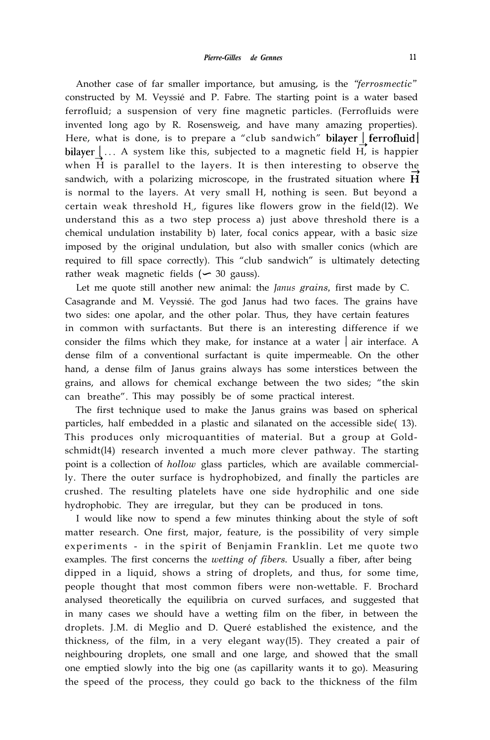Another case of far smaller importance, but amusing, is the *"ferrosmectic"* constructed by M. Veyssié and P. Fabre. The starting point is a water based ferrofluid; a suspension of very fine magnetic particles. (Ferrofluids were invented long ago by R. Rosensweig, and have many amazing properties). Here, what is done, is to prepare a "club sandwich" ... A system like this, subjected to a magnetic field H, is happier when H is parallel to the layers. It is then interesting to observe the sandwich, with a polarizing microscope, in the frustrated situation where  $\dot{H}$ is normal to the layers. At very small H, nothing is seen. But beyond a certain weak threshold  $H<sub>et</sub>$  figures like flowers grow in the field(12). We understand this as a two step process a) just above threshold there is a chemical undulation instability b) later, focal conics appear, with a basic size imposed by the original undulation, but also with smaller conics (which are required to fill space correctly). This "club sandwich" is ultimately detecting rather weak magnetic fields ( $\sim$  30 gauss).

Let me quote still another new animal: the *Janus grains,* first made by C. Casagrande and M. Veyssié. The god Janus had two faces. The grains have two sides: one apolar, and the other polar. Thus, they have certain features in common with surfactants. But there is an interesting difference if we consider the films which they make, for instance at a water  $|$  air interface. A dense film of a conventional surfactant is quite impermeable. On the other hand, a dense film of Janus grains always has some interstices between the grains, and allows for chemical exchange between the two sides; "the skin can breathe". This may possibly be of some practical interest.

The first technique used to make the Janus grains was based on spherical particles, half embedded in a plastic and silanated on the accessible side( 13). This produces only microquantities of material. But a group at Goldschmidt(l4) research invented a much more clever pathway. The starting point is a collection of *hollow* glass particles, which are available commercially. There the outer surface is hydrophobized, and finally the particles are crushed. The resulting platelets have one side hydrophilic and one side hydrophobic. They are irregular, but they can be produced in tons.

I would like now to spend a few minutes thinking about the style of soft matter research. One first, major, feature, is the possibility of very simple experiments - in the spirit of Benjamin Franklin. Let me quote two examples. The first concerns the *wetting of fibers.* Usually a fiber, after being dipped in a liquid, shows a string of droplets, and thus, for some time, people thought that most common fibers were non-wettable. F. Brochard analysed theoretically the equilibria on curved surfaces, and suggested that in many cases we should have a wetting film on the fiber, in between the droplets. J.M. di Meglio and D. Queré established the existence, and the thickness, of the film, in a very elegant way(l5). They created a pair of neighbouring droplets, one small and one large, and showed that the small one emptied slowly into the big one (as capillarity wants it to go). Measuring the speed of the process, they could go back to the thickness of the film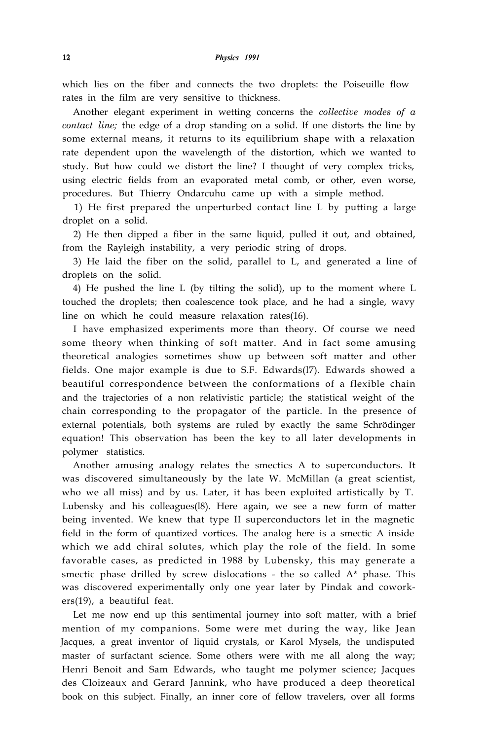which lies on the fiber and connects the two droplets: the Poiseuille flow rates in the film are very sensitive to thickness.

Another elegant experiment in wetting concerns the *collective modes of a contact line;* the edge of a drop standing on a solid. If one distorts the line by some external means, it returns to its equilibrium shape with a relaxation rate dependent upon the wavelength of the distortion, which we wanted to study. But how could we distort the line? I thought of very complex tricks, using electric fields from an evaporated metal comb, or other, even worse, procedures. But Thierry Ondarcuhu came up with a simple method.

1) He first prepared the unperturbed contact line L by putting a large droplet on a solid.

2) He then dipped a fiber in the same liquid, pulled it out, and obtained, from the Rayleigh instability, a very periodic string of drops.

3) He laid the fiber on the solid, parallel to L, and generated a line of droplets on the solid.

4) He pushed the line L (by tilting the solid), up to the moment where L touched the droplets; then coalescence took place, and he had a single, wavy line on which he could measure relaxation rates(16).

I have emphasized experiments more than theory. Of course we need some theory when thinking of soft matter. And in fact some amusing theoretical analogies sometimes show up between soft matter and other fields. One major example is due to S.F. Edwards(l7). Edwards showed a beautiful correspondence between the conformations of a flexible chain and the trajectories of a non relativistic particle; the statistical weight of the chain corresponding to the propagator of the particle. In the presence of external potentials, both systems are ruled by exactly the same Schrödinger equation! This observation has been the key to all later developments in polymer statistics.

Another amusing analogy relates the smectics A to superconductors. It was discovered simultaneously by the late W. McMillan (a great scientist, who we all miss) and by us. Later, it has been exploited artistically by T. Lubensky and his colleagues(l8). Here again, we see a new form of matter being invented. We knew that type II superconductors let in the magnetic field in the form of quantized vortices. The analog here is a smectic A inside which we add chiral solutes, which play the role of the field. In some favorable cases, as predicted in 1988 by Lubensky, this may generate a smectic phase drilled by screw dislocations - the so called A\* phase. This was discovered experimentally only one year later by Pindak and coworkers(19), a beautiful feat.

Let me now end up this sentimental journey into soft matter, with a brief mention of my companions. Some were met during the way, like Jean Jacques, a great inventor of liquid crystals, or Karol Mysels, the undisputed master of surfactant science. Some others were with me all along the way; Henri Benoit and Sam Edwards, who taught me polymer science; Jacques des Cloizeaux and Gerard Jannink, who have produced a deep theoretical book on this subject. Finally, an inner core of fellow travelers, over all forms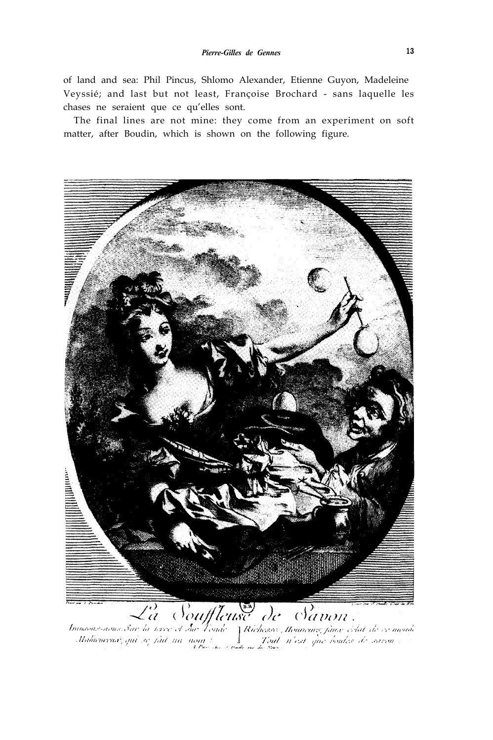of land and sea: Phil Pincus, Shlomo Alexander, Etienne Guyon, Madeleine Veyssié; and last but not least, Françoise Brochard - sans laquelle les chases ne seraient que ce qu'elles sont.

The final lines are not mine: they come from an experiment on soft matter, after Boudin, which is shown on the following figure.



Malacureur, qui se fait un nom ? Il a Tout n'ext que boules de souron